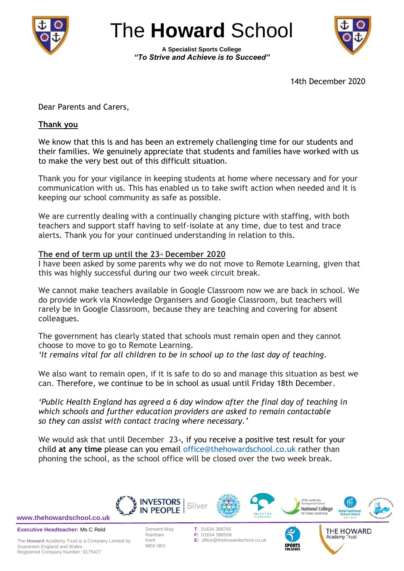

The **Howard** School

**A Specialist Sports College** *"To Strive and Achieve is to Succeed"*



THE HOWARD Academy Trust

14th December 2020

Dear Parents and Carers,

#### **Thank you**

We know that this is and has been an extremely challenging time for our students and their families. We genuinely appreciate that students and families have worked with us to make the very best out of this difficult situation.

Thank you for your vigilance in keeping students at home where necessary and for your communication with us. This has enabled us to take swift action when needed and it is keeping our school community as safe as possible.

We are currently dealing with a continually changing picture with staffing, with both teachers and support staff having to self-isolate at any time, due to test and trace alerts. Thank you for your continued understanding in relation to this.

#### **The end of term up until the 23rd December 2020**

I have been asked by some parents why we do not move to Remote Learning, given that this was highly successful during our two week circuit break.

We cannot make teachers available in Google Classroom now we are back in school. We do provide work via Knowledge Organisers and Google Classroom, but teachers will rarely be in Google Classroom, because they are teaching and covering for absent colleagues.

The government has clearly stated that schools must remain open and they cannot choose to move to go to Remote Learning. *'It remains vital for all children to be in school up to the last day of teaching.*

We also want to remain open, if it is safe to do so and manage this situation as best we can. Therefore, we continue to be in school as usual until Friday 18th December.

*'Public Health England has agreed a 6 day window after the final day of teaching in which schools and further education providers are asked to remain contactable so they can assist with contact tracing where necessary.'*

We would ask that until December  $23<sub>rd</sub>$ , if you receive a positive test result for your child **at any time** please can you email office@thehowardschool.co.uk rather than phoning the school, as the school office will be closed over the two week break.



**[www.thehowardschool.co.uk](http://www.thehowardschool.co.uk/)**

**Executive Headteacher:** Ms C Reid

The **Howard** Academy Trust is a Company Limited by Guarantee England and Wales. Registered Company Number: 9175427

ME8 0BX

Derwent Way **T**: 01634 388765 **F: 01634 388558** Kent **E:** office@thehowardschool.co.uk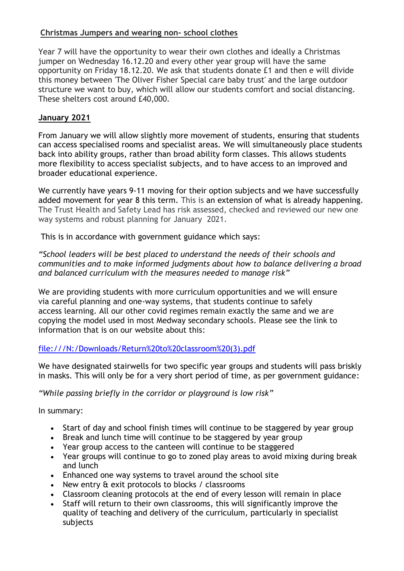# **Christmas Jumpers and wearing non- school clothes**

Year 7 will have the opportunity to wear their own clothes and ideally a Christmas jumper on Wednesday 16.12.20 and every other year group will have the same opportunity on Friday 18.12.20. We ask that students donate £1 and then e will divide this money between 'The Oliver Fisher Special care baby trust' and the large outdoor structure we want to buy, which will allow our students comfort and social distancing. These shelters cost around £40,000.

## **January 2021**

From January we will allow slightly more movement of students, ensuring that students can access specialised rooms and specialist areas. We will simultaneously place students back into ability groups, rather than broad ability form classes. This allows students more flexibility to access specialist subjects, and to have access to an improved and broader educational experience.

We currently have years 9-11 moving for their option subjects and we have successfully added movement for year 8 this term. This is an extension of what is already happening. The Trust Health and Safety Lead has risk assessed, checked and reviewed our new one way systems and robust planning for January 2021.

This is in accordance with government guidance which says:

*"School leaders will be best placed to understand the needs of their schools and communities and to make informed judgments about how to balance delivering a broad and balanced curriculum with the measures needed to manage risk"*

We are providing students with more curriculum opportunities and we will ensure via careful planning and one-way systems, that students continue to safely access learning. All our other covid regimes remain exactly the same and we are copying the model used in most Medway secondary schools. Please see the link to information that is on our website about this:

### [file:///N:/Downloads/Return%20to%20classroom%20\(3\).pdf](file://///ths-dc001/StaffWork/LambornS/Documents/Downloads/Return%20to%20classroom%20(3).pdf)

We have designated stairwells for two specific year groups and students will pass briskly in masks. This will only be for a very short period of time, as per government guidance:

### *"While passing briefly in the corridor or playground is low risk"*

In summary:

- Start of day and school finish times will continue to be staggered by year group
- Break and lunch time will continue to be staggered by year group
- Year group access to the canteen will continue to be staggered
- Year groups will continue to go to zoned play areas to avoid mixing during break and lunch
- Enhanced one way systems to travel around the school site
- New entry & exit protocols to blocks / classrooms
- Classroom cleaning protocols at the end of every lesson will remain in place
- Staff will return to their own classrooms, this will significantly improve the quality of teaching and delivery of the curriculum, particularly in specialist subjects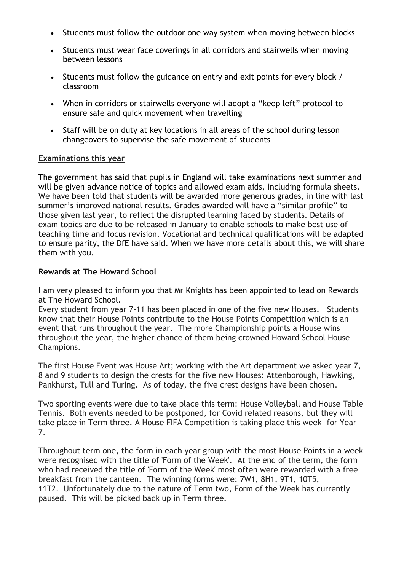- Students must follow the outdoor one way system when moving between blocks
- Students must wear face coverings in all corridors and stairwells when moving between lessons
- Students must follow the guidance on entry and exit points for every block / classroom
- When in corridors or stairwells everyone will adopt a "keep left" protocol to ensure safe and quick movement when travelling
- Staff will be on duty at key locations in all areas of the school during lesson changeovers to supervise the safe movement of students

#### **Examinations this year**

The government has said that pupils in England will take examinations next summer and will be given [advance notice of topics](https://www.theguardian.com/education/2020/dec/03/students-in-england-to-get-notice-of-exam-topics-after-covid-disruption) and allowed exam aids, including formula sheets. We have been told that students will be awarded more generous grades, in line with last summer's improved national results. Grades awarded will have a "similar profile" to those given last year, to reflect the disrupted learning faced by students. Details of exam topics are due to be released in January to enable schools to make best use of teaching time and focus revision. Vocational and technical qualifications will be adapted to ensure parity, the DfE have said. When we have more details about this, we will share them with you.

#### **Rewards at The Howard School**

I am very pleased to inform you that Mr Knights has been appointed to lead on Rewards at The Howard School.

Every student from year 7-11 has been placed in one of the five new Houses. Students know that their House Points contribute to the House Points Competition which is an event that runs throughout the year. The more Championship points a House wins throughout the year, the higher chance of them being crowned Howard School House Champions.

The first House Event was House Art; working with the Art department we asked year 7, 8 and 9 students to design the crests for the five new Houses: Attenborough, Hawking, Pankhurst, Tull and Turing. As of today, the five crest designs have been chosen.

Two sporting events were due to take place this term: House Volleyball and House Table Tennis. Both events needed to be postponed, for Covid related reasons, but they will take place in Term three. A House FIFA Competition is taking place this week for Year 7.

Throughout term one, the form in each year group with the most House Points in a week were recognised with the title of 'Form of the Week'. At the end of the term, the form who had received the title of 'Form of the Week' most often were rewarded with a free breakfast from the canteen. The winning forms were: 7W1, 8H1, 9T1, 10T5, 11T2. Unfortunately due to the nature of Term two, Form of the Week has currently paused. This will be picked back up in Term three.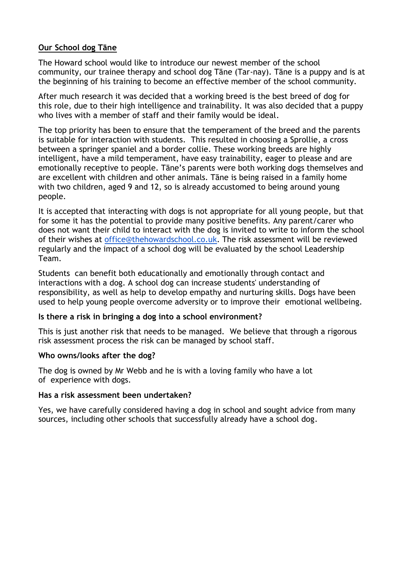### **Our School dog Tāne**

The Howard school would like to introduce our newest member of the school community, our trainee therapy and school dog Tāne (Tar-nay). Tāne is a puppy and is at the beginning of his training to become an effective member of the school community.

After much research it was decided that a working breed is the best breed of dog for this role, due to their high intelligence and trainability. It was also decided that a puppy who lives with a member of staff and their family would be ideal.

The top priority has been to ensure that the temperament of the breed and the parents is suitable for interaction with students. This resulted in choosing a Sprollie, a cross between a springer spaniel and a border collie. These working breeds are highly intelligent, have a mild temperament, have easy trainability, eager to please and are emotionally receptive to people. Tāne's parents were both working dogs themselves and are excellent with children and other animals. Tāne is being raised in a family home with two children, aged 9 and 12, so is already accustomed to being around young people.

It is accepted that interacting with dogs is not appropriate for all young people, but that for some it has the potential to provide many positive benefits. Any parent/carer who does not want their child to interact with the dog is invited to write to inform the school of their wishes at [office@thehowardschool.co.uk.](mailto:office@thehowardschool.co.uk) The risk assessment will be reviewed regularly and the impact of a school dog will be evaluated by the school Leadership Team.

Students can benefit both educationally and emotionally through contact and interactions with a dog. A school dog can increase students' understanding of responsibility, as well as help to develop empathy and nurturing skills. Dogs have been used to help young people overcome adversity or to improve their emotional wellbeing.

#### **Is there a risk in bringing a dog into a school environment?**

This is just another risk that needs to be managed. We believe that through a rigorous risk assessment process the risk can be managed by school staff.

#### **Who owns/looks after the dog?**

The dog is owned by Mr Webb and he is with a loving family who have a lot of experience with dogs.

#### **Has a risk assessment been undertaken?**

Yes, we have carefully considered having a dog in school and sought advice from many sources, including other schools that successfully already have a school dog.